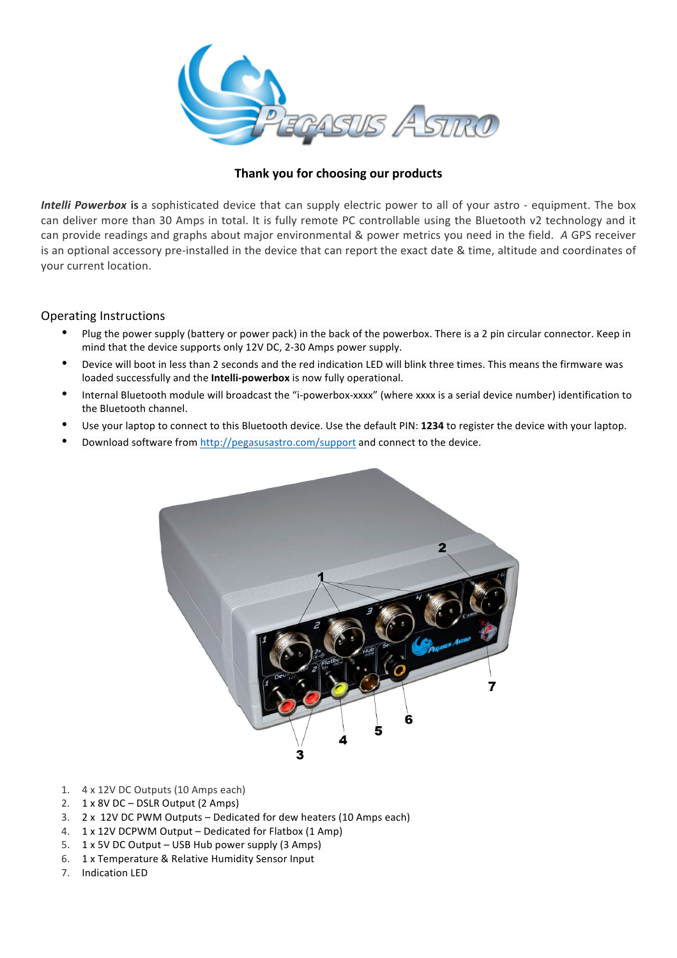

### **Thank you for choosing our products**

*Intelli Powerbox* is a sophisticated device that can supply electric power to all of your astro - equipment. The box can deliver more than 30 Amps in total. It is fully remote PC controllable using the Bluetooth v2 technology and it can provide readings and graphs about major environmental & power metrics you need in the field. A GPS receiver is an optional accessory pre-installed in the device that can report the exact date & time, altitude and coordinates of vour current location.

#### Operating Instructions

- Plug the power supply (battery or power pack) in the back of the powerbox. There is a 2 pin circular connector. Keep in mind that the device supports only 12V DC, 2-30 Amps power supply.
- Device will boot in less than 2 seconds and the red indication LED will blink three times. This means the firmware was loaded successfully and the **Intelli-powerbox** is now fully operational.
- Internal Bluetooth module will broadcast the "i-powerbox-xxxx" (where xxxx is a serial device number) identification to the Bluetooth channel.
- Use your laptop to connect to this Bluetooth device. Use the default PIN: 1234 to register the device with your laptop.
- Download software from http://pegasusastro.com/support and connect to the device.



- 1. 4 x 12V DC Outputs (10 Amps each)
- 2. 1 x 8V DC DSLR Output (2 Amps)
- 3. 2 x 12V DC PWM Outputs Dedicated for dew heaters (10 Amps each)
- 4. 1 x 12V DCPWM Output Dedicated for Flatbox (1 Amp)
- 5. 1 x 5V DC Output USB Hub power supply (3 Amps)
- 6. 1 x Temperature & Relative Humidity Sensor Input
- 7. Indication LED